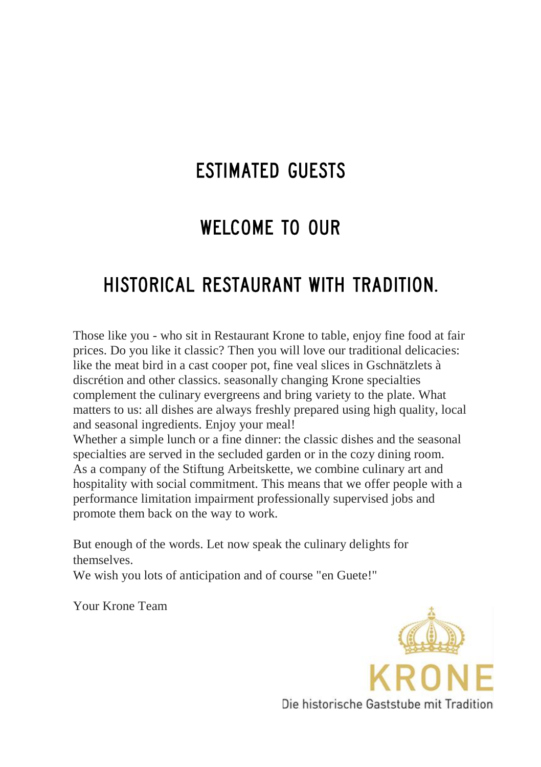### **FSTIMATED GUESTS**

#### **WELCOME TO OUR**

### HISTORICAL RESTAURANT WITH TRADITION.

Those like you - who sit in Restaurant Krone to table, enjoy fine food at fair prices. Do you like it classic? Then you will love our traditional delicacies: like the meat bird in a cast cooper pot, fine veal slices in Gschnätzlets à discrétion and other classics. seasonally changing Krone specialties complement the culinary evergreens and bring variety to the plate. What matters to us: all dishes are always freshly prepared using high quality, local and seasonal ingredients. Enjoy your meal!

Whether a simple lunch or a fine dinner: the classic dishes and the seasonal specialties are served in the secluded garden or in the cozy dining room. As a company of the Stiftung Arbeitskette, we combine culinary art and hospitality with social commitment. This means that we offer people with a performance limitation impairment professionally supervised jobs and promote them back on the way to work.

But enough of the words. Let now speak the culinary delights for themselves.

We wish you lots of anticipation and of course "en Guete!"

Your Krone Team

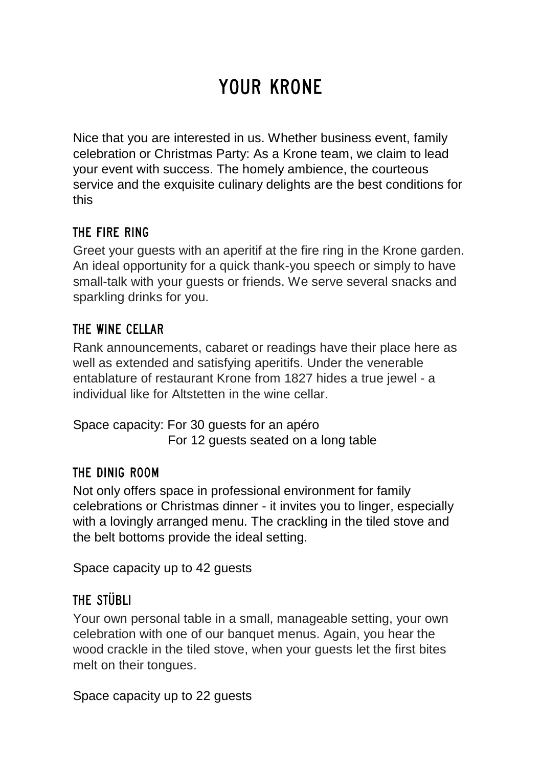# YOUR KRONE

Nice that you are interested in us. Whether business event, family celebration or Christmas Party: As a Krone team, we claim to lead your event with success. The homely ambience, the courteous service and the exquisite culinary delights are the best conditions for this

#### THE FIRE RING

Greet your guests with an aperitif at the fire ring in the Krone garden. An ideal opportunity for a quick thank-you speech or simply to have small-talk with your guests or friends. We serve several snacks and sparkling drinks for you.

#### THE WINE CELLAR

Rank announcements, cabaret or readings have their place here as well as extended and satisfying aperitifs. Under the venerable entablature of restaurant Krone from 1827 hides a true jewel - a individual like for Altstetten in the wine cellar.

Space capacity: For 30 guests for an apéro For 12 guests seated on a long table

#### THE DINIG ROOM

Not only offers space in professional environment for family celebrations or Christmas dinner - it invites you to linger, especially with a lovingly arranged menu. The crackling in the tiled stove and the belt bottoms provide the ideal setting.

Space capacity up to 42 guests

#### THE STÜBLI

Your own personal table in a small, manageable setting, your own celebration with one of our banquet menus. Again, you hear the wood crackle in the tiled stove, when your guests let the first bites melt on their tongues.

Space capacity up to 22 guests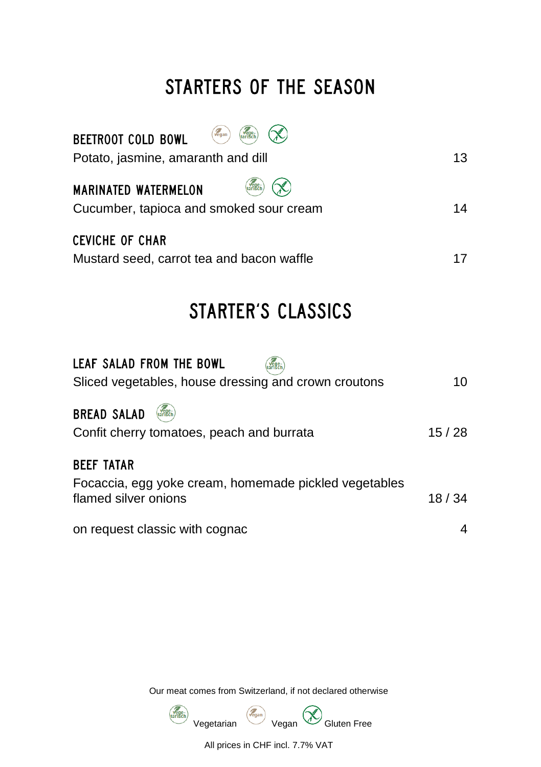# STARTERS OF THE SEASON

| Vegan<br>vege-<br><b>BEETROOT COLD BOWL</b><br>Potato, jasmine, amaranth and dill | 13 |
|-----------------------------------------------------------------------------------|----|
| tarisch<br><b>MARINATED WATERMELON</b><br>Cucumber, tapioca and smoked sour cream | 14 |
| <b>CEVICHE OF CHAR</b><br>Mustard seed, carrot tea and bacon waffle               |    |

# STARTER'S CLASSICS

| LEAF SALAD FROM THE BOWL<br>vege-<br>Sliced vegetables, house dressing and crown croutons          | 10    |
|----------------------------------------------------------------------------------------------------|-------|
| <b>BREAD SALAD</b><br>Confit cherry tomatoes, peach and burrata                                    | 15/28 |
| <b>BEEF TATAR</b><br>Focaccia, egg yoke cream, homemade pickled vegetables<br>flamed silver onions | 18/34 |
| on request classic with cognac                                                                     | 4     |

Our meat comes from Switzerland, if not declared otherwise



All prices in CHF incl. 7.7% VAT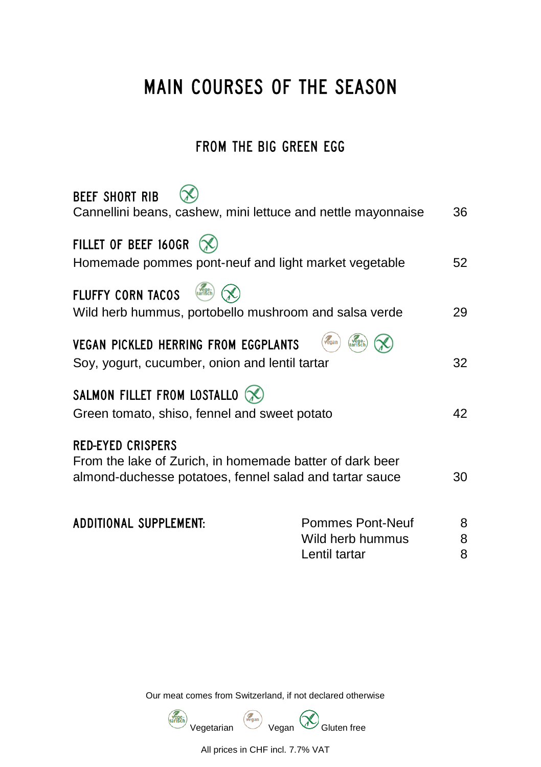# MAIN COURSES OF THE SEASON

#### FROM THE BIG GREEN EGG

| Cannellini beans, cashew, mini lettuce and nettle mayonnaise<br>36                                                        |
|---------------------------------------------------------------------------------------------------------------------------|
| Homemade pommes pont-neuf and light market vegetable<br>52                                                                |
| Wild herb hummus, portobello mushroom and salsa verde<br>29                                                               |
| vegan<br>32<br>Soy, yogurt, cucumber, onion and lentil tartar                                                             |
| 42<br>Green tomato, shiso, fennel and sweet potato                                                                        |
| From the lake of Zurich, in homemade batter of dark beer<br>almond-duchesse potatoes, fennel salad and tartar sauce<br>30 |
| Pommes Pont-Neuf<br>8                                                                                                     |
| 8<br>Wild herb hummus<br>8<br>Lentil tartar                                                                               |
|                                                                                                                           |

Our meat comes from Switzerland, if not declared otherwise



All prices in CHF incl. 7.7% VAT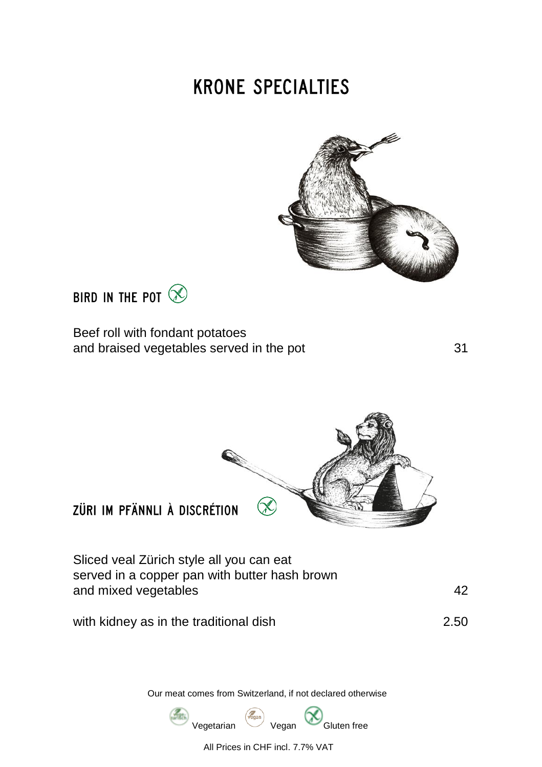# **KRONE SPECIALTIES**





Beef roll with fondant potatoes and braised vegetables served in the pot 31



ZÜRLIM PFÄNNLI À DISCRÉTION

Sliced veal Zürich style all you can eat served in a copper pan with butter hash brown and mixed vegetables 42

with kidney as in the traditional dish 2.50

Our meat comes from Switzerland, if not declared otherwise



All Prices in CHF incl. 7.7% VAT